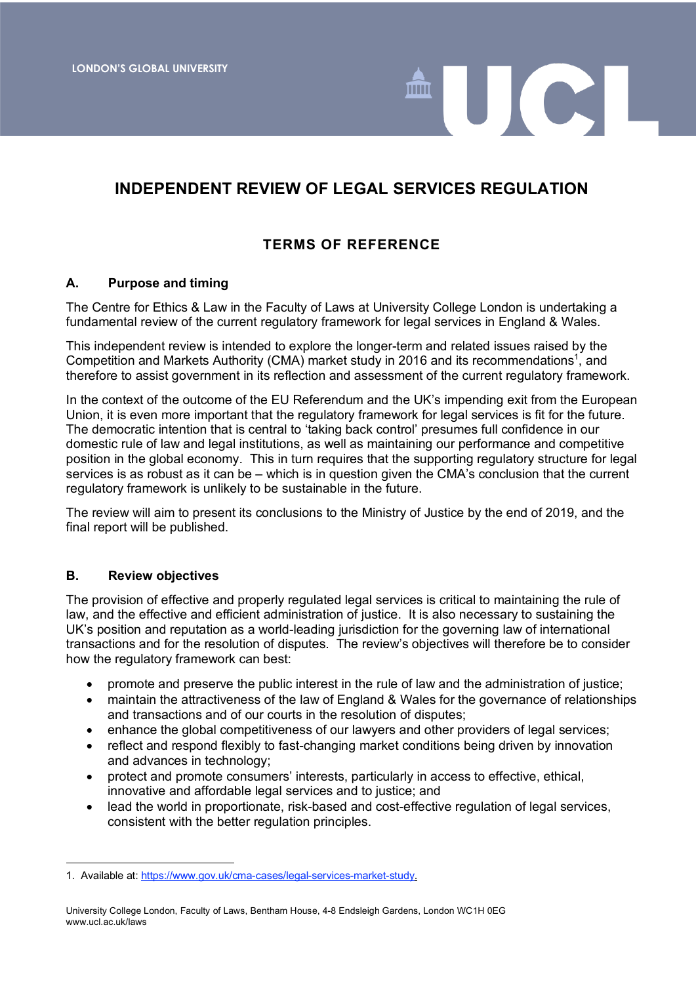# **INDEPENDENT REVIEW OF LEGAL SERVICES REGULATION**

UCL

# **TERMS OF REFERENCE**

### **A. Purpose and timing**

The Centre for Ethics & Law in the Faculty of Laws at University College London is undertaking a fundamental review of the current regulatory framework for legal services in England & Wales.

This independent review is intended to explore the longer-term and related issues raised by the Competition and Markets Authority (CMA) market study in 2016 and its recommendations<sup>1</sup>, and therefore to assist government in its reflection and assessment of the current regulatory framework.

In the context of the outcome of the EU Referendum and the UK's impending exit from the European Union, it is even more important that the regulatory framework for legal services is fit for the future. The democratic intention that is central to 'taking back control' presumes full confidence in our domestic rule of law and legal institutions, as well as maintaining our performance and competitive position in the global economy. This in turn requires that the supporting regulatory structure for legal services is as robust as it can be – which is in question given the CMA's conclusion that the current regulatory framework is unlikely to be sustainable in the future.

The review will aim to present its conclusions to the Ministry of Justice by the end of 2019, and the final report will be published.

### **B. Review objectives**

The provision of effective and properly regulated legal services is critical to maintaining the rule of law, and the effective and efficient administration of justice. It is also necessary to sustaining the UK's position and reputation as a world-leading jurisdiction for the governing law of international transactions and for the resolution of disputes. The review's objectives will therefore be to consider how the regulatory framework can best:

- promote and preserve the public interest in the rule of law and the administration of justice;
- maintain the attractiveness of the law of England & Wales for the governance of relationships and transactions and of our courts in the resolution of disputes;
- enhance the global competitiveness of our lawyers and other providers of legal services;
- reflect and respond flexibly to fast-changing market conditions being driven by innovation and advances in technology;
- protect and promote consumers' interests, particularly in access to effective, ethical, innovative and affordable legal services and to justice; and
- lead the world in proportionate, risk-based and cost-effective regulation of legal services, consistent with the better regulation principles.

l 1. Available at: https://www.gov.uk/cma-cases/legal-services-market-study.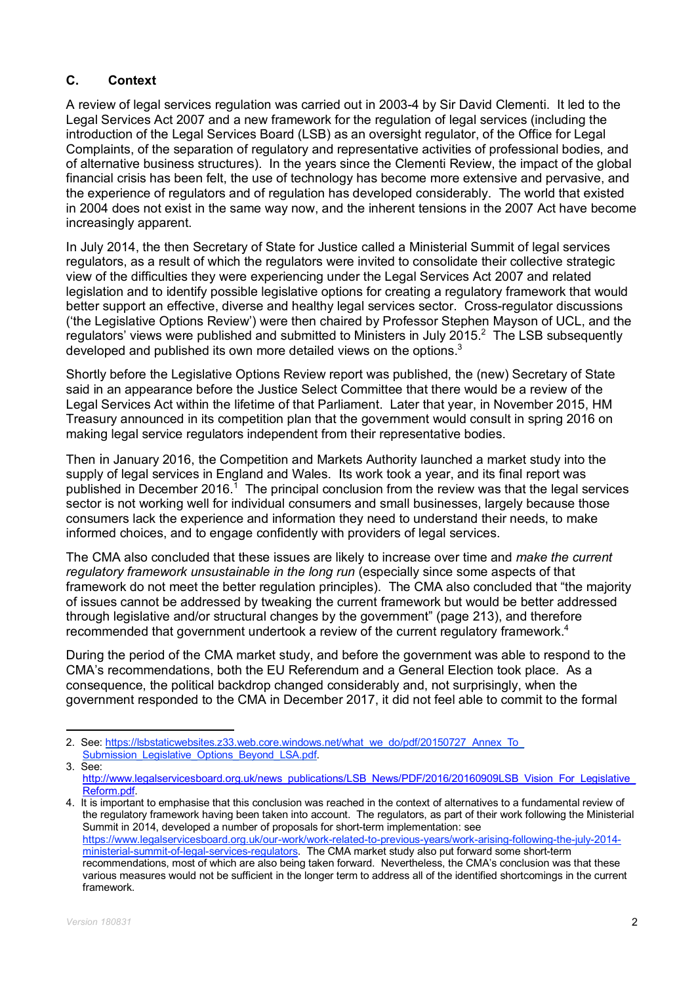# **C. Context**

A review of legal services regulation was carried out in 2003-4 by Sir David Clementi. It led to the Legal Services Act 2007 and a new framework for the regulation of legal services (including the introduction of the Legal Services Board (LSB) as an oversight regulator, of the Office for Legal Complaints, of the separation of regulatory and representative activities of professional bodies, and of alternative business structures). In the years since the Clementi Review, the impact of the global financial crisis has been felt, the use of technology has become more extensive and pervasive, and the experience of regulators and of regulation has developed considerably. The world that existed in 2004 does not exist in the same way now, and the inherent tensions in the 2007 Act have become increasingly apparent.

In July 2014, the then Secretary of State for Justice called a Ministerial Summit of legal services regulators, as a result of which the regulators were invited to consolidate their collective strategic view of the difficulties they were experiencing under the Legal Services Act 2007 and related legislation and to identify possible legislative options for creating a regulatory framework that would better support an effective, diverse and healthy legal services sector. Cross-regulator discussions ('the Legislative Options Review') were then chaired by Professor Stephen Mayson of UCL, and the regulators' views were published and submitted to Ministers in July 2015. $^2$  The LSB subsequently developed and published its own more detailed views on the options.<sup>3</sup>

Shortly before the Legislative Options Review report was published, the (new) Secretary of State said in an appearance before the Justice Select Committee that there would be a review of the Legal Services Act within the lifetime of that Parliament. Later that year, in November 2015, HM Treasury announced in its competition plan that the government would consult in spring 2016 on making legal service regulators independent from their representative bodies.

Then in January 2016, the Competition and Markets Authority launched a market study into the supply of legal services in England and Wales. Its work took a year, and its final report was published in December 2016.<sup>1</sup> The principal conclusion from the review was that the legal services sector is not working well for individual consumers and small businesses, largely because those consumers lack the experience and information they need to understand their needs, to make informed choices, and to engage confidently with providers of legal services.

The CMA also concluded that these issues are likely to increase over time and *make the current regulatory framework unsustainable in the long run* (especially since some aspects of that framework do not meet the better regulation principles). The CMA also concluded that "the majority of issues cannot be addressed by tweaking the current framework but would be better addressed through legislative and/or structural changes by the government" (page 213), and therefore recommended that government undertook a review of the current regulatory framework.<sup>4</sup>

During the period of the CMA market study, and before the government was able to respond to the CMA's recommendations, both the EU Referendum and a General Election took place. As a consequence, the political backdrop changed considerably and, not surprisingly, when the government responded to the CMA in December 2017, it did not feel able to commit to the formal

2. See: https://lsbstaticwebsites.z33.web.core.windows.net/what\_we\_do/pdf/20150727\_Annex\_To\_ Submission\_Legislative\_Options\_Beyond\_LSA.pdf 3. See:

http://www.legalservicesboard.org.uk/news\_publications/LSB\_News/PDF/2016/20160909LSB\_Vision\_For\_Legislative Reform.pdf.

<sup>4.</sup> It is important to emphasise that this conclusion was reached in the context of alternatives to a fundamental review of the regulatory framework having been taken into account. The regulators, as part of their work following the Ministerial Summit in 2014, developed a number of proposals for short-term implementation: see https://www.legalservicesboard.org.uk/our-work/work-related-to-previous-years/work-arising-following-the-july-2014 ministerial-summit-of-legal-services-regulators. The CMA market study also put forward some short-term recommendations, most of which are also being taken forward. Nevertheless, the CMA's conclusion was that these various measures would not be sufficient in the longer term to address all of the identified shortcomings in the current framework.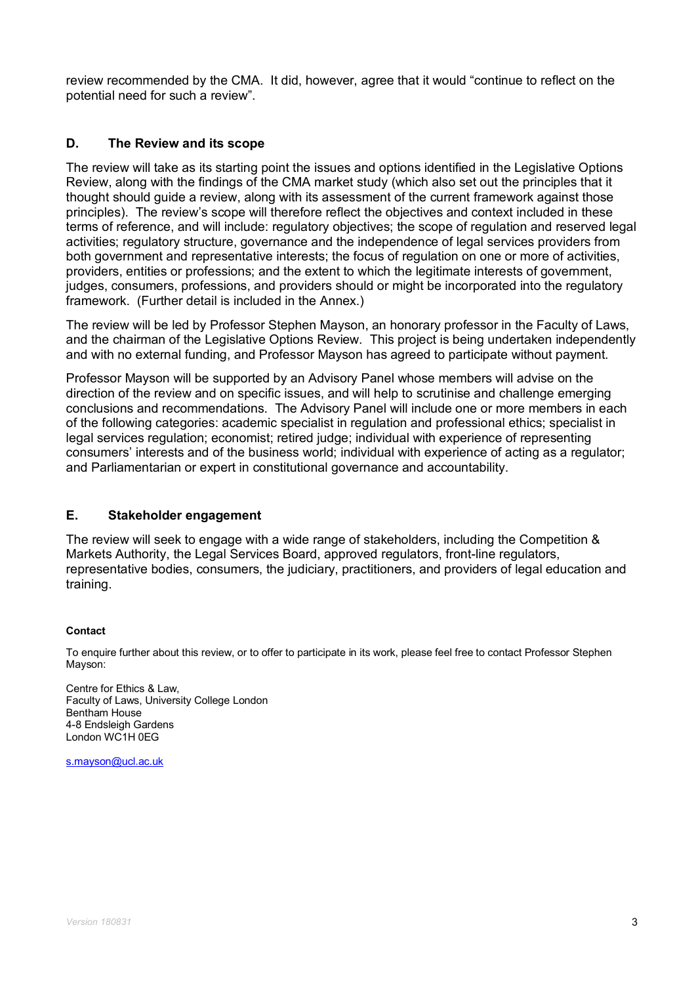review recommended by the CMA. It did, however, agree that it would "continue to reflect on the potential need for such a review".

# **D. The Review and its scope**

The review will take as its starting point the issues and options identified in the Legislative Options Review, along with the findings of the CMA market study (which also set out the principles that it thought should guide a review, along with its assessment of the current framework against those principles). The review's scope will therefore reflect the objectives and context included in these terms of reference, and will include: regulatory objectives; the scope of regulation and reserved legal activities; regulatory structure, governance and the independence of legal services providers from both government and representative interests; the focus of regulation on one or more of activities, providers, entities or professions; and the extent to which the legitimate interests of government, judges, consumers, professions, and providers should or might be incorporated into the regulatory framework. (Further detail is included in the Annex.)

The review will be led by Professor Stephen Mayson, an honorary professor in the Faculty of Laws, and the chairman of the Legislative Options Review. This project is being undertaken independently and with no external funding, and Professor Mayson has agreed to participate without payment.

Professor Mayson will be supported by an Advisory Panel whose members will advise on the direction of the review and on specific issues, and will help to scrutinise and challenge emerging conclusions and recommendations. The Advisory Panel will include one or more members in each of the following categories: academic specialist in regulation and professional ethics; specialist in legal services regulation; economist; retired judge; individual with experience of representing consumers' interests and of the business world; individual with experience of acting as a regulator; and Parliamentarian or expert in constitutional governance and accountability.

## **E. Stakeholder engagement**

The review will seek to engage with a wide range of stakeholders, including the Competition & Markets Authority, the Legal Services Board, approved regulators, front-line regulators, representative bodies, consumers, the judiciary, practitioners, and providers of legal education and training.

### **Contact**

To enquire further about this review, or to offer to participate in its work, please feel free to contact Professor Stephen Mayson:

Centre for Ethics & Law, Faculty of Laws, University College London Bentham House 4-8 Endsleigh Gardens London WC1H 0EG

s.mayson@ucl.ac.uk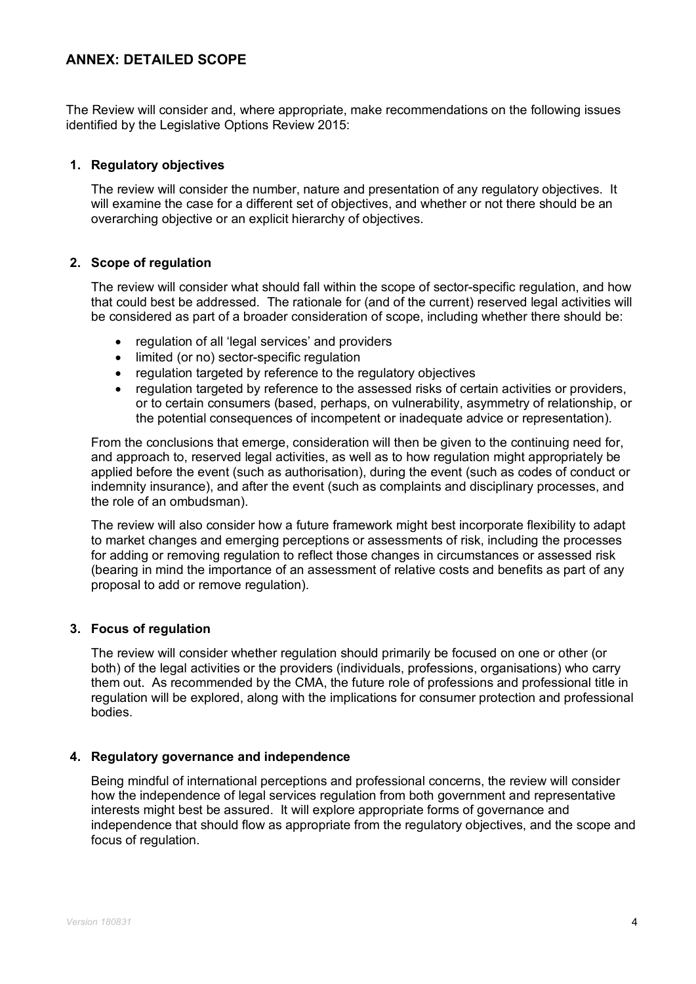# **ANNEX: DETAILED SCOPE**

The Review will consider and, where appropriate, make recommendations on the following issues identified by the Legislative Options Review 2015:

### **1. Regulatory objectives**

The review will consider the number, nature and presentation of any regulatory objectives. It will examine the case for a different set of objectives, and whether or not there should be an overarching objective or an explicit hierarchy of objectives.

### **2. Scope of regulation**

The review will consider what should fall within the scope of sector-specific regulation, and how that could best be addressed. The rationale for (and of the current) reserved legal activities will be considered as part of a broader consideration of scope, including whether there should be:

- regulation of all 'legal services' and providers
- limited (or no) sector-specific regulation
- regulation targeted by reference to the regulatory objectives
- regulation targeted by reference to the assessed risks of certain activities or providers, or to certain consumers (based, perhaps, on vulnerability, asymmetry of relationship, or the potential consequences of incompetent or inadequate advice or representation).

From the conclusions that emerge, consideration will then be given to the continuing need for, and approach to, reserved legal activities, as well as to how regulation might appropriately be applied before the event (such as authorisation), during the event (such as codes of conduct or indemnity insurance), and after the event (such as complaints and disciplinary processes, and the role of an ombudsman).

The review will also consider how a future framework might best incorporate flexibility to adapt to market changes and emerging perceptions or assessments of risk, including the processes for adding or removing regulation to reflect those changes in circumstances or assessed risk (bearing in mind the importance of an assessment of relative costs and benefits as part of any proposal to add or remove regulation).

### **3. Focus of regulation**

The review will consider whether regulation should primarily be focused on one or other (or both) of the legal activities or the providers (individuals, professions, organisations) who carry them out. As recommended by the CMA, the future role of professions and professional title in regulation will be explored, along with the implications for consumer protection and professional bodies.

### **4. Regulatory governance and independence**

Being mindful of international perceptions and professional concerns, the review will consider how the independence of legal services regulation from both government and representative interests might best be assured. It will explore appropriate forms of governance and independence that should flow as appropriate from the regulatory objectives, and the scope and focus of regulation.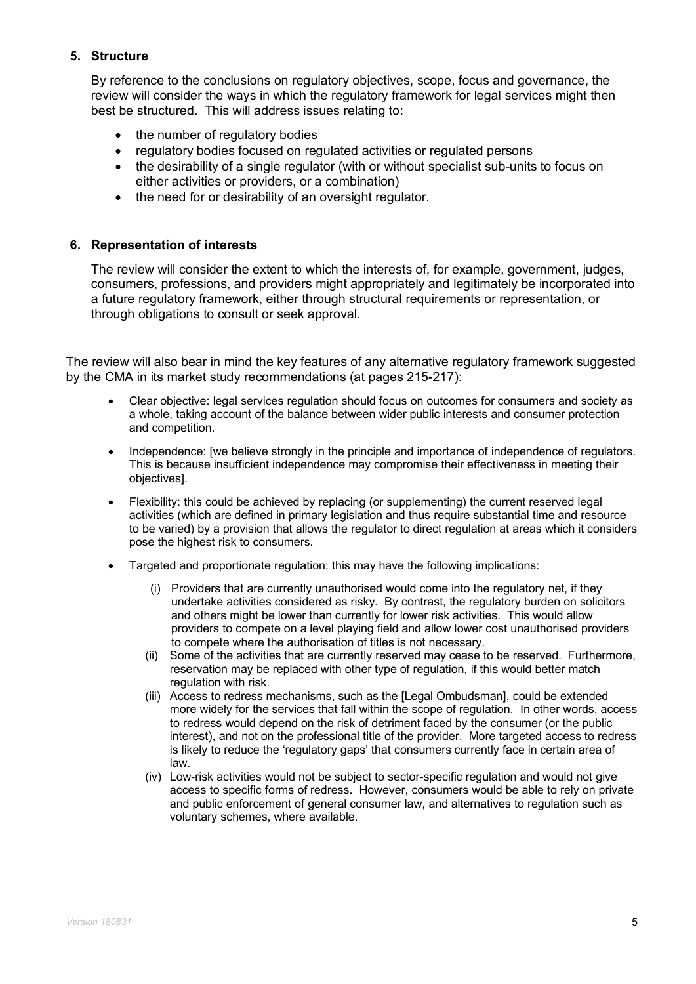## **5. Structure**

By reference to the conclusions on regulatory objectives, scope, focus and governance, the review will consider the ways in which the regulatory framework for legal services might then best be structured. This will address issues relating to:

- the number of regulatory bodies
- regulatory bodies focused on regulated activities or regulated persons
- the desirability of a single regulator (with or without specialist sub-units to focus on either activities or providers, or a combination)
- the need for or desirability of an oversight regulator.

### **6. Representation of interests**

The review will consider the extent to which the interests of, for example, government, judges, consumers, professions, and providers might appropriately and legitimately be incorporated into a future regulatory framework, either through structural requirements or representation, or through obligations to consult or seek approval.

The review will also bear in mind the key features of any alternative regulatory framework suggested by the CMA in its market study recommendations (at pages 215-217):

- Clear objective: legal services regulation should focus on outcomes for consumers and society as a whole, taking account of the balance between wider public interests and consumer protection and competition.
- Independence: [we believe strongly in the principle and importance of independence of regulators. This is because insufficient independence may compromise their effectiveness in meeting their objectives].
- Flexibility: this could be achieved by replacing (or supplementing) the current reserved legal activities (which are defined in primary legislation and thus require substantial time and resource to be varied) by a provision that allows the regulator to direct regulation at areas which it considers pose the highest risk to consumers.
- Targeted and proportionate regulation: this may have the following implications:
	- (i) Providers that are currently unauthorised would come into the regulatory net, if they undertake activities considered as risky. By contrast, the regulatory burden on solicitors and others might be lower than currently for lower risk activities. This would allow providers to compete on a level playing field and allow lower cost unauthorised providers to compete where the authorisation of titles is not necessary.
	- (ii) Some of the activities that are currently reserved may cease to be reserved. Furthermore, reservation may be replaced with other type of regulation, if this would better match regulation with risk.
	- (iii) Access to redress mechanisms, such as the [Legal Ombudsman], could be extended more widely for the services that fall within the scope of regulation. In other words, access to redress would depend on the risk of detriment faced by the consumer (or the public interest), and not on the professional title of the provider. More targeted access to redress is likely to reduce the 'regulatory gaps' that consumers currently face in certain area of law.
	- (iv) Low-risk activities would not be subject to sector-specific regulation and would not give access to specific forms of redress. However, consumers would be able to rely on private and public enforcement of general consumer law, and alternatives to regulation such as voluntary schemes, where available.